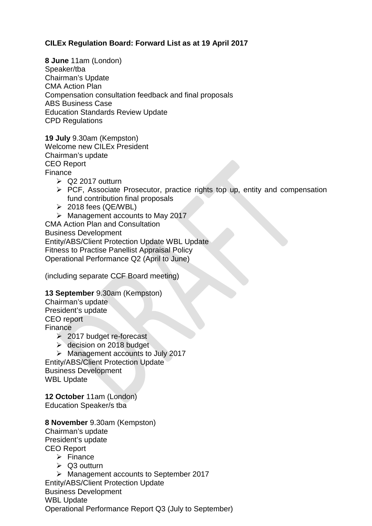## **CILEx Regulation Board: Forward List as at 19 April 2017**

**8 June** 11am (London) Speaker/tba Chairman's Update CMA Action Plan Compensation consultation feedback and final proposals ABS Business Case Education Standards Review Update CPD Regulations

**19 July** 9.30am (Kempston) Welcome new CILEx President Chairman's update CEO Report Finance

- $\ge$  Q2 2017 outturn
- $\triangleright$  PCF, Associate Prosecutor, practice rights top up, entity and compensation fund contribution final proposals
- $\geq$  2018 fees (QE/WBL)
- $\triangleright$  Management accounts to May 2017

CMA Action Plan and Consultation Business Development Entity/ABS/Client Protection Update WBL Update Fitness to Practise Panellist Appraisal Policy Operational Performance Q2 (April to June)

(including separate CCF Board meeting)

## **13 September** 9.30am (Kempston)

Chairman's update President's update CEO report Finance

- $\geq$  2017 budget re-forecast
- **► decision on 2018 budget**
- $\triangleright$  Management accounts to July 2017

Entity/ABS/Client Protection Update Business Development WBL Update

**12 October** 11am (London) Education Speaker/s tba

## **8 November** 9.30am (Kempston)

Chairman's update President's update CEO Report  $\triangleright$  Finance  $\triangleright$  Q3 outturn Management accounts to September 2017 Entity/ABS/Client Protection Update Business Development

WBL Update Operational Performance Report Q3 (July to September)